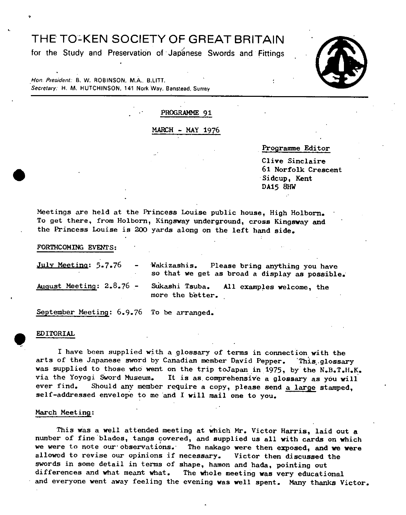# THE T0-KEN SOCIETY OF GREAT BRITAIN

for the Study and Preservation of Japanese Swords and Fittings



Hon. President: B. W. ROBINSON, M.A., B.LITT. Secretary: H. M. HUTCHINSON, 141 Nork Way, Banstead, Surrey

### PROGRAMME 91

#### MARCH - MAY 1976

Programme Editor

Clive Sinclaire . 61 Norfolk Crescent Sidcup, Kent DA15 811W

Meetings are held at the Princess Louise public house, High Holborn. To get there, from Holborn, Kingsway underground, cross Kingsway and the Princess Louise is 200 yards along on the left hand side.

#### FORThCOMING *EVENTS:*

| July Meeting: 5.7.76       | $\sim$ | Wakizashis. Please bring anything you have<br>so that we get as broad a display as possible. |  |
|----------------------------|--------|----------------------------------------------------------------------------------------------|--|
| August Meeting: $2.8.76$ - |        | Sukashi Tsuba. All examples welcome, the<br>more the better.                                 |  |

September Meeting: 6.9.76 To be arranged.

#### • EDITORIAL

 $\bullet$  . The set of  $\bullet$ 

I have been supplied with a glossary of terms in connection with the arts of the Japanese sword by Canadian member David Pepper. This glossary was supplied to those who went on the trip toJapan in 1975, by the N.B.T.H.K.<br>via the Yoyogi Sword Museum. It is as comprehensive a glossary as you will via the Yoyogi Sword Museum. It is as comprehensive a glossary as you will<br>ever find. Should any member require a copy, please send a large stamped Should any member require a copy, please send a large stamped, self-addressed envelope to me and I will mail one to you.

#### March Meeting:

This was a well attended meeting at which Mr. Victor Harris, laid out a number of fine blades, tangs covered, and supplied us all with cards on which we were to note our observations. The nakago were then exposed, and we were allowed to revise our opinions if necessary. Victor then discussed the swords in some detail in terms of shape, hamon and hada, pointing out differences and what meant what. The whole meeting was very education The whole meeting was very educational and everyone went away feeling the evening was well spent. Many thanks Victor.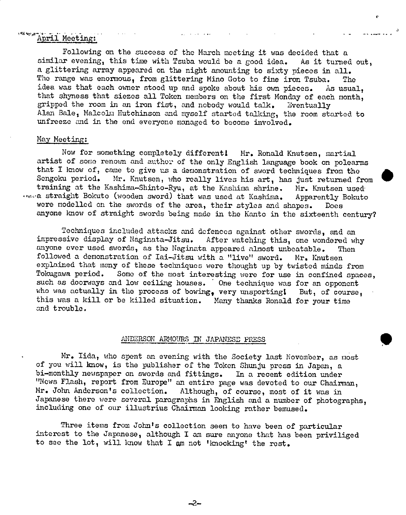#### $x$   $x$   $x$ April Meeting:

Following on the success of the March meeting it was decided that a similar evening, this time with Tsuba would be a good idea. As it turned out, a glittering array appeared on the night amounting to sixty pieces in all. The range was enormous, from glittering Mino Goto to fine iron Tsuba. The idea was that each owner stood up and spoke about his own pieces. As usual, that shyness that siezes all Token members on the first Monday of each month, gripped the room in an iron fist, and nobody would talk. Eventually Alan Bale, Malco]n Hutchinson and myself started taJ.king, the room started to unfreeze and in the end everyone managed to become involved.

r

#### May Meeting:

Now for something completely different! Mr. Ronald Knutsen, martial artist of some renown and author of the only English language book on polearms that I know of, came to give us a demonstration of sword techniques from the Sengoku period. Mr. Knutsen, who really lives his art, has just returned fi Mr. Knutsen, who really lives his art, has just returned from training at the Kashima-Shinto-Ryu, at the Kashima shrine. Mr. Knutsen used we straight Bokuto (wooden sword) that was used at Kashima. Apparently Bokuto a straight Bokuto (wooden sword) that was used at Kashima. Apparently Bokuto<br>were modelled on the swords of the area, their styles and shapes. Does anyone know of straight swords being made in the Kanto in the sixteenth century?

Techniques included attacks and defences against other swords, and an<br>sive display of Naginata-Jitsu. After watching this, one wondered why impressive display of Naginata-Jitsu. anyone ever used swords, as the Naginata appeared almost unbeatable. Then followed a demonstration of Iai-Jitsu with a "live" sword. Mr. Knutsen explained that many of these techniques were thought up by twisted minds from<br>Tokugawa period. Some of the most interesting were for use in confined space Some of the most interesting were for use in confined spaces, such as doorways and low ceiling houses. One technique was for an opponent who was actually in the process of bowing, very unsporting! But, of course, this was a kill or be killed situation. Many thanks Ronald for your time and trouble.

## ANDERSONARMOURS IN JAPANESE PRESS

Mr. Iida, who spent an evening with the Society last November, as most of you will know, is the publisher of the Token Shunju press in Japan, a bi-monthly newspaper on swords and fittings. In a recent edition under "News Flash, report from Europe" an entire page was devoted to our Chairman, Mr. John Anderson's collection. Although, of course, most of it was in Japanese there were several paragraphs in English and a number of photographs, including one of our illustrius Chairman looking rather bemused.

Three items from John's collection seen to have been of particular interest to the Japanese, although I an sure anyone that has been priviliged to see the lot, will know that I am not 'knocking' the rest.

-2-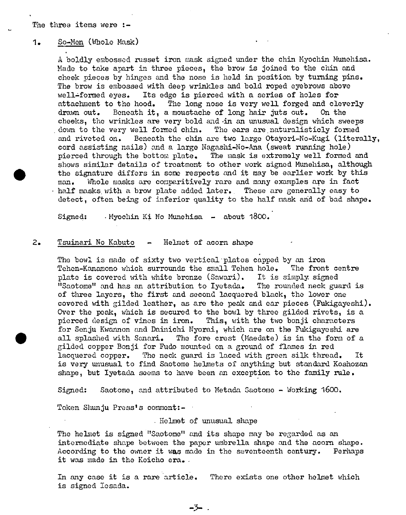#### 1 • So-Men (Whole Mask)

A boldly embossed russet iron mask signed under the chin Myochin Munohisa. Made to take apart in three pieces, the brow is joined to the chin and cheek pieces by hinges and the nose is held in position by turning pins. The brow is embossed with deep wrinkles and bold roped eyebrows above well-formed eyes. Its edge is pierced with a series of holes for attachment to the hood. The long nose is very well forged and cleverly drawn out. Beneath it, a moustache of long hair juts out. On the cheeks, the wrinkles are very bold and .in an unusual design which sweeps down to the very well formed chin. The ears are naturalisticly formed and riveted on. Beneath the chin are two large Otayori-No-Kugi (literally, cord assisting nails) and a large Nagashi-No-Ana (sweat running hole) pierced through the bottom plate. The mask is extremely well formed and shows similar details of treatment to other work signed Munehisa, although the signature differs in some respects and it may be earlier work by this man. Whole masks are comparitively rare and many examples are in fact half masks with a brow plate added later. These are generally easy to detect, often being of inferior quality to the half mask and of bad shape.

Signed: Myochin Ki No Munehisa - about 1800.

#### 2. Tauinari No Kabuto - Helmet of acorn shape

The bowl is made of sixty two vertical plates capped by an iron Tehen-Kanamono which surrounds the small Tehen hole, The front centre plate is covered with white bronze (Sawari). It is simply signed "Saotome" and has an attribution to lyotada. The rounded neck guard is of three layers, the first and second lacquered black, the lower one covered with gilded leather, as are the peak and ear pieces (Fukigayeshi). Over the peak, which is secured to the bowl by three gilded rivets, is a pierced design of vines in iron. This, with the two bonji characters for Senju Kwannon and Dainichi Nyorai, which are on the Fukigayeshi are all splashed with Sanari. The fore crest (Maedate) is in the form of a gilded copper Bonji for Fudo mounted on a ground of flames in red lacquered copper. The neck guard is laced with green silk thread. is very unusual to find Saotome helmets of anything but standard Koshozan shape, but Iyetada seems to have been an exception to the family rule.

Signed: Saotome, and attributed to Metada Saotomo - Working 1600.

Token Shunju Press's comment:-

## Helmet of unusual shape

The helmet is signed "Saotome" and its shape may be regarded as an intermediate shape between the paper umbrella shape and the acorn shape. According to the owner it was made in the seventeenth century. Perhaps it was made in the Koicho era.

In any case it is a rare article. There exists one other helmet which is signed lesada.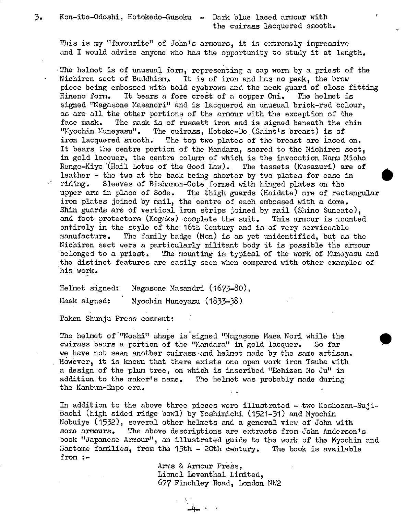3. Kon-ito-Odoshi, Hotokedo-Gusoku - Dark blue laced armour with the cuiraas lacquered smooth.

This is my "favourite" of John's armours, it is extremely impressive and I would advise anyone who has the opportunity to study it at length.

'The helmet is of unusual form, representing a cap worn by a priest of the Nichiren sect of Buddhism, It is of iron and has no peak, the brow piece being embossed with bold eyebrows and the neck guard of close fitting *Hineno* form. It bears a fore crest of a copper Oni. The helmet is signed "Nagasone Masanori" and is lacquered an unusual brick-red colour, as are all the other portions of the armour with the exception of the face mask. The mask is of russett iron and is signed beneath the chin "Myochin !luneyasu". The cuirass, Hotoke-Do (Saint ts breast) is of iron lacquered smooth. The top two plates of the breast are laced on. It bears the centre portion of the Mandara, sacred to the Nichiren sect, in gold lacquer, the centre column of which is the *invocation* Nanu Mioho Renge-Kiyo (Hail Lotus of the Good Law). The tassets (Kusazuri) are of leather - the two at the back being shorter by two plates for ease in riding. Sleeves of Bishamon-Gote formed with hinged plates on the upper arm in place of Sode. The thigh guards (Haidate) are of rectangular iron plates joined by mail, the centre of each embossed with a dome. Shin guards are of vertical iron strips joined by mail (Shino Suneate), and foot protectors (Kogake) complete the suit. This armour is mounted entirely in the style of the 16th Century and is of very serviceable manufacture. The family badge (Mon) is as yet unidentified, but as the Nichiren sect were a particularly militant body it is possible the armour belonged to a priest. The mounting is typical of the work of Muneyasu and the distinct features are easily seen when compared with other examples of his work.

Helmet signed: Magasone Masandri (1673-80),

Mask signed: Myochin Muneyasu (1833-38)

Token Shunju Press comment:

 $\mathcal{F}$  .

The helmet of "Noshi" shape is signed "Nagasone Masa Nori while the cuirass bears a portion of the "Mandara" in gold lacquer. So far we have not seen another cuirass and helmet made by the same artisan. However, it is known that there exists one open work iron Tsuba with a deign of the plum tree, on which is inscribed "Echizen No Ju" in addition to the maker's name. The helmet was probably made during the Kanbun-Enpo era. -

In addition to the above three pieces were illustrated - two Koshozan-Suji-Bachi (high sided ridge bowl) by Yoshimichi (1521-31) and Myochin Nobuiye (1532), several other helmets and a general view of John with some armours. The above descriptions are extracts from John Anderson's book "Japanese Armour", an illustrated guide to the work of the Myochin and Saotome families, from the 15th - 20th century. The book is available from :-

> Arms & Armour Press, Lionel Leventhal Limited, 677 Finchley Road, London NW2

> > -4⊷ ∴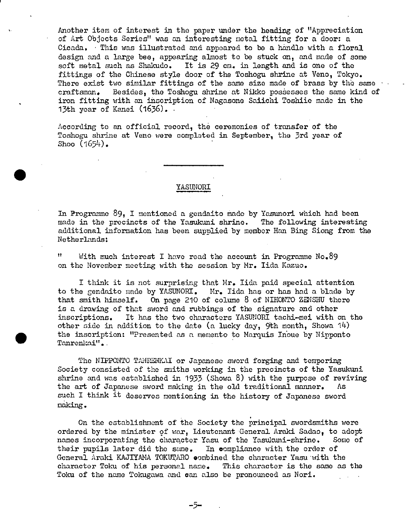Another item of interest in the paper under the beading of "Appreciation of Art Objects Series" was an interesting metal fitting for a door: a Cicada. This was illustrated and appeared to be a handle with a floral design and a large bee, appearing almost to be stuck on, and made of some soft metal such as Shakudo. It is 29 cm. in length and is one of the fittings of the Chinese style door of the Toshogu shrine at Veno, Tokyo. There exist two similar fittings of the same size made of brass by the same craftsman. Besides, the Toshogu shrine at Nikko possesses the same kind of iron fitting with an inscription of Nagasone Saiichi Toshiie made in the 13th year of Kanei *(1636).* 

According to an official record, the ceremonies of transfer of the Toshogu shrine at Veno were complated in September, the 3rd year of Shoo *(1654).* 

#### YASUNORI

In Programme 89, I mentioned a gendaito made by Yasunori which had been made in the precincts of the Yasukuni. shrine. The following *interesting*  additional information has been supplied by member Han Bing Siong from the Netherlands:

With much interest I have read the account in Programme  $No_{\bullet}89$ on the November meeting with the session by Mr. lida Kazuo.

I think it is not surprising that Mr. lida paid special attention to the gendaito made by YASUNORI. Mr. Iida has or has had a blade by that smith himself. On page 210 of colume 8 of NIHONTO ZENSHU there is a drawing of that sword and rubbings of the signature and other inscriptions. It has the two characters YASUNORI tachi-mei with on the other side in addition to the date (a lucky day, 9th month, Showa  $14$ ) the inscription: "Presented as a memento to Marquis Inoue by Nipponto Tanrenkai".

The NIPPONTO TANRENKAI or Japanese sword forging and tempering Society consisted of the smiths working in the precincts of the Yasukuni shrine and was established in 1933. (Showa *8)* with the purpose of reviving the art of Japanese sword making in the old traditional manner. As such I think it deserves *mentioning in* the history of Japanese sword making.

*On* the establishment of the Society the principal swordsmiths were ordered by the minister of war, Lieutenant General Araki Sadao, to adopt names incorporating the character Yasu of the Yasukuni-shrine. Some of their pupils later did the same. In compliance with the order of General Araki KAJIYAMA TOKUTARO combined the character Yasu with the character Toku of his personal name. This character is the same as the Toku of the name Tokugawa and can also be pronounced as Nori.

*-5-*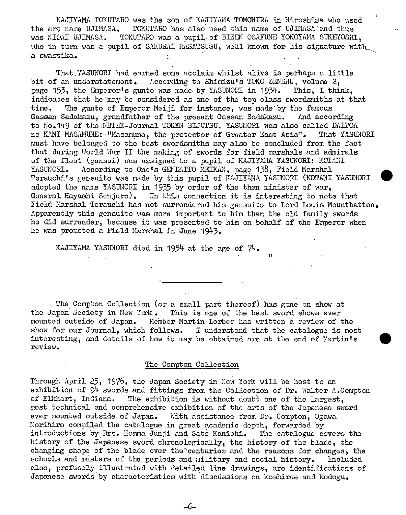KAJIYANA TOKUTARO was the son of KMIYAMA TOMOHThA in Hiroshima who used the art name UJIMASA. TOKUTARO has also used this name of UJIMASA and thus was NIDAI UJIMASA. TOKUTARO was a pupil of BIZEN OSAFUNE YOKOYAMA SUKEYOSHI, who in turn was a pupil of SAKURAI MASATSUGU, well known for his signature with a swastika.

That YASUNORI had earned some acclaim whilst alive is perhaps a little bit of an understatement. According to Shimizu's TOKO ZENSHU, volume 2, page 153, the Emperor's gunto was made by YASUNORI in 1934. This, I think, indicates that he may be considered as one of the top class swordsmiths at that time. The gunto of Emperor Meiji for instance, was made by the famous Gassan Sadakazu, grandfather of the present Gassan Sadakazu. And according to No.149 of the NBTHK-Journal TOKEN BIJUTSU, YASUNORI was also called DAITOA no KAMI MASAMUNE: "Masamune, the protector of Greater East Asia". That YASUNORI must have belonged to the best swordsraiths may also be concluded from the fact that during World War II the making of swords for field marshals and admirals of the fleet (gensui) was assigned to a pupil of KAJIYANA YASUNORI: KOTANI YASUNORI. According to Ono's GENDAITO MEIKAN, page 138, Field Marshal Terauchi's gensuito was made by this pupil of KAJIYAMA YASUNORI (KOTANI YASUNORI adopted the name YASUNORI in 1935 by order of the then minister of war, General Hayashi Senjuro). In this connection it is interesting to note that Field Marshal Terauchi has not surrendered his gensuito to Lord Louis Mountbatten. Apparently this gensuito was more important to him than the, old family swords he did surrender; because it was presented to him on behalf of the Emperor when he was promoted a Field Marshal in June 1943.

**11** 

KAJIYAMA YASUNORI died in 1954 at the age of 74.

The Compton Collection (or a small part thereof) has gone on show at the Japan Society in New York. This is one of the best sword shows ever mounted outside of Japan. Member Martin Lorber has written a review of the show for our Journal, which follows. I understand that the catalogue is most interesting, and details of how it may be obtained are at the end of Martin's review.

### The Compton Collection

Through April 25, 1976, the Japan Society in New York will be host to an exhibition of 94 swords and fittings from the Collection of Dr. Walter A.Compton of Elkhart, Indiana. The exhibition is without doubt one of the largest, most technical and comprehensive exhibition of the arts of the Japanese sword ever mounted outside of Japan. With assistance from Dr. Compton, Ogawa Morihiro compiled the catalogue in great academic depth, forwarded by introductions by Drs. Homma Junji and Sato Kanichi. The catalogue covers the history of the Japanese sword chronologically, the history of the blade, the changing shape of the blade over the'centuries and the reasons for changes, the schools and masters of the periods and military and social history. Included also, profusely illustrated with detailed line drawings, are identifications of Japanese swords by characteristics with discussions on koshirae and kodogu.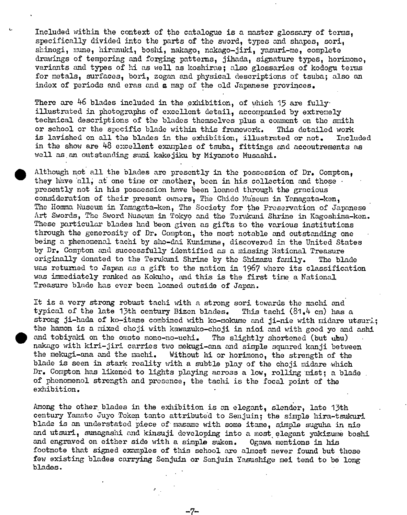Included within the context of the catalogue is a master glossary of terms, specifically divided into the parts of the sword, types and shapes, sori, shinogi, mune, hiranuki, boshi, nakago, nakago-jiri, yasuri-me, complete drawings of tempering and forging patterns, jihada, signature types, horimono, variants and types of hi as well as koshirae; also glossaries of kodogu terms for metals, surfaces, ban, zogan and physical descriptions of tsuba; also an index of periods and eras and a map of the old Japanese provinces.

There are  $46$  blades included in the exhibition, of which 15 are fully illustrated in photographs of excellent detail, accompanied by extremely technical descriptions of the blades themselves plus a comment on the smith or school or the specific blade within this framework. This detailed work is lavished on all the blades in the exhibition, illustrated or not. Included in the show are 48 excellent examples of tsuba, fittings and accoutrements as well as. an outstanding sumi kakejiku by Miyamoto Musashi.

Although not all the blades are presently in the possession of Dr. Compton. they have all, at one time or another, been in his collection and those presently not in his possession have been loaned through the gracious consideration of their present owners. The Chido Museum in Yamagata-ken. The Homma Museum in Yamagata-ken, The Society for the Preservation of Japanese Art Swords, The Sword Museum in Tokyo and the Terukuni Shrine in Kagoshima-ken. These particular blades had been given as gifts to the various institutions through the generosity of Dr. Compton, the most notable and outstanding one being a phenomenal tachi by sho-dai Kunimune, discovered in the United States by Dr. Compton and successfully identified as a missing National Treasure originally donated to the Terukuni Shrine by the Shimazu family. The blade was returned to Japan as a gift to the nation in 1967 where its classification was immediately ranked as Kokuho, and this is the first time a National Treasure blade has ever been loaned outside of Japan.

It is a very strong robust tachi with a strong sori towards the machi and typical of the late 13th century Bizen blades. This tachi  $(81, 4 \text{ cm})$  has a strong ji-hada of ko-itame combined with ko-mokume and ji-nie with midare utsuri; the hamon is a mixed choji with kawazuko-choji in nioi and with good yo and ashi and tobiyaki on the omote mono-no-uchi. The slightly shortened (but ubu) nakago with kini-jiri carries two mekugi-ana and simple squared kanji between the mekugi-ana and the machi. Without hi or horimono, the strength of the blade is seen in stark reality with a subtle play of the choji midare which Dr. Compton has likened to lights playing across a low, rolling 'mist; a blade of phenomenol strength and presence, the tachi is the focal point of the exhibition.

Among the other, blades in the exhibition is an elegant, slender, late 13th century Yamato Juyo Token tanto attributed to Senjuin; the simple hira-tsukuri blade is an understated piece of masame with some itame, simple suguha in nie and utsuri, sunagashi and kinsuji developing into a most elegant yakizume boshi and engraved on either side with a simple suken. Ogawa mentions in his footnote that signed examples of this school are almost never found but those few existing blades carrying Senjuin or Senjuin Yasushige mei tend to be long blades.

—7-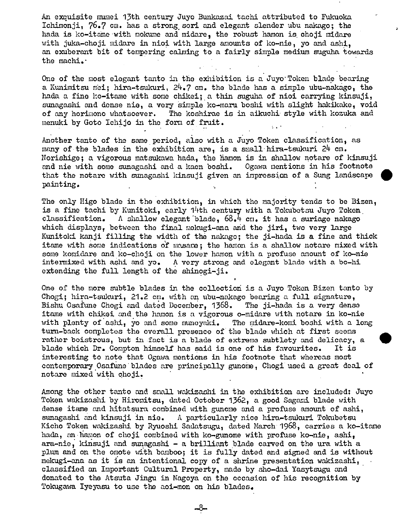An exquisite mumei 13th century Juyo Bunkazai tachi attributed to Fukuoka Ichimonji,  $76.7$  cm. has a strong sori and elegant slender ubu nakago; the hada is ko-itame with mokume and midare, the robust hamon is choji midare with juka-choji midare in nioi with large amounts of ko-nie, yo and ashi, an exuberant bit of tempering calming to a fairly simple medium suguha towards the machi.'

One of the most elegant tanto in the exhibition is a Juyo Token blade bearing a Kunimitsu mei; hira-tsukuri,  $24.7$  cm. the blade has a simple ubu-nakago, the hada a fine ko-itame with some chikei; a thin suguha of nioi carrying kinsuji, sunagashi and dense nie, a very Simple ko-maru boshi with slight hakikake, void of any horimono whatsoever. The koshirae is in aikuchi style with kozuka and menuki by Goto Ichijo in the form of fruit.

Another tanto of the same period, also with a Juyo Token classification, as many of the blades in the exhibition are, is a small hira-tsukuri  $24$  cm. Norishige; a vigorous matsukawa hada, the hamon is in shallow notare of kinsuji and mis with some sunagashi and a kaen boshi. Ogawa mentions in his footnote that the notaro with sunagashi kinsuji given an impressjon of a Sung landscape • painting.

The only Higo blade in the exhibition, in which the majority tends to be Bizen, is a fine tachi by Kunitoki, early 14th century with a Tokubetsu Juyo Token, classification. A shallow elegant blade,  $68.4$  cm. it has a suriage nakago which displays, between the final mokugi-ana and the jiri, two very large Kunitoki kanji filling the width of the nakago; the ji-hada is a fine and thick itame with some indications of masame; the hamon is a shallow notare mixed with some komidare and ko-choji on the lower hamon with a profuse amount of ko-nie intermixed with ashi and yo. A very strong and elegant blade with a bo-hi A very strong and elegant blade with a bo-hi extending the full length of the shinogi-ji.

One of the more subtle blades in the collection is a Juyo Token Bizen tanto by Chogi; hira-tsukuri,  $21.2$  cm. with an ubu-nakago bearing a full signature, Bishu Osafune Chogi and dated December, 1368. The ji-hada is a very dense itame with chikei and the hamon is a vigorous o-midare with notare in ko-nie with plenty of ashi, yo and some munoyaki. The midare-komi boshi with a long turn-back completes the overall presence of the blade which at first seems rather boistrous, but in fact is a blade of extreme subtlety and delicacy, a blade which Dr. Compton himseLf has said is one of his favourites. It is interesting to note that Ogawa mentions in his footnote that whereas most contemporary Osafune 'blades are principally gunone, Chogi used a great deal of notare mixed with choji.

Among the other tanto and small wakizachi in the exhibition are included: Juyo Token wakizashi by Hiromitsu, dated October 1362, a good Sagami blade with dense itame and hitatsura combined with gunome and a profuse amount of ashi, sunagashi and kinsuji in nie. A particularly nice hira-tsukuri Tokubetsu Kicho Token wakizashi by Ryuoshi Sadatsugu, dated March 1968, carries a ko-itame hada, an hamon of choji combined with ko-gunome with profuse ko-nie, ashi, ara-nie, kinsuji and sunagashi - a brilliant blade caned on the ura with a plum and on the omote with bamboo; it is fully dated and signed and is without mekugi-ana as it is an intentional copy of a shrine presentation wakizashi, classified an Important Cultural Property, made by sho-dai Yasytsugu and donated to the Atsuta Jingu in Nagoya on the occasion of his recognition by Tokugawa Iyeyasu to use the aoi-mon on his blades.

-8-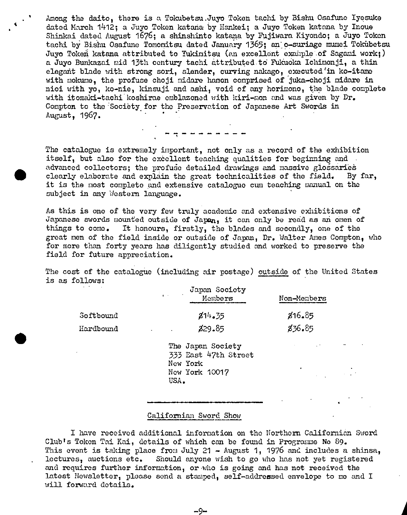Among the daito, there is a Tokubetsu .Juyo Token tachi by Biahu Osafune lyosuke dated March 1412; a Juyo Token katana by Hankei; a Juyo Token katana by Inoue Shinkai dated August 1676; a shinshinto katana by Fujiwara Kiyondo; a Juyo Token tachi by Bishu Osafune Tomomitsu dated January 1365; an o-suriage mumei Tokübetsu Juyo Tokeñ katana attributed to Yukimitsu (an excellent example of Sagami work;) a Juyo Bunkazai mid 13th century tachi attributedtd Fukuoka Ichimonji, a thin elegant blade with strong sori, slender, curving nakago, executed in ko-itame with mokume, the profuse choji midare hamon comprised of juka-choji midare in nioi with yo, ko-nie, kinsuji and ashi, void of any horimono, the blade complete with itomaki-tachi koshirae emblazoned with kiri-mon and was given by Dr. Compton to the Sociëty for the Preservation of Japanese Art Swords in August, 1967. -

The catalogue is extremely important, not only as a record of the exhibition itself, but also for the excellent teaching qualities for beginning and advanced collectors; the profuse detailed drawings and massive glossaries clearly elaborate and explain the great technicalities of the field. By far, it is the most complete and extensive cataloguo cuni teaching manual on the subject in any Western language.

As this is one of the very few truly academic and extensive exhibitions of Japanese swords mounted outside of Japan, it can only be read as an omen of things to come. It honours, firstly, the blades and secondly, one of the great men of the field inside or outside of Japan, Dr. Walter Ames Compton, who for more than forty years has diligently studied and worked to preserve the field for future appreciation.

The cost of the catalogue (including air postage) outside of the United States is as follows:

|                      | Japan Society<br>Alberta Control<br>Mombers                             | Non-Members |  |
|----------------------|-------------------------------------------------------------------------|-------------|--|
| Softbound            | 814.35                                                                  | 816.85      |  |
| Hardbound            | 829.85<br>and the company                                               | 836.85      |  |
| $\ddot{\phantom{1}}$ | The Japan Society<br>333 East 47th Street<br>New York<br>New York 10017 |             |  |

## Californian Sword Show

USA.

I have received additional information on the Northern Californian Sword Club's Token Tai Kai, details of which can be found in Programme No 89. This event is taking place from July 21 - August 1, 1976 and includes a shinsa, lectures, auctions etc. Should anyone wish to go who has not yet registered and requires further information, or who is going and has not receivod the latest Newalettor, please send a stamped, self-addressed envelope to me and I will forward details.

-9-